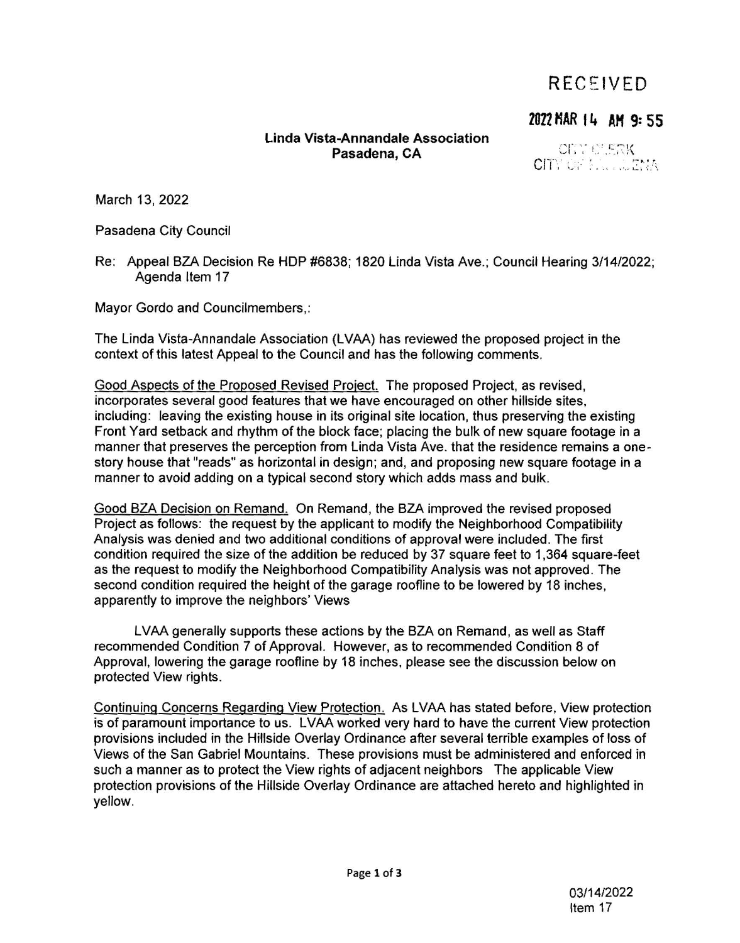### $RECFIVFD$

### 2022 HAR 14 AH 9: 55

### **Linda Vista-Annandale Association Pasadena, CA**

CITY CLERK CITY OF LEE LUZYIA

March 13, 2022

Pasadena City Council

Re: Appeal BZA Decision Re HOP #6838; 1820 Linda Vista Ave.; Council Hearing 3/14/2022; Agenda Item 17

Mayor Gordo and Councilmembers,:

The Linda Vista-Annandale Association (L VAA) has reviewed the proposed project in the context of this latest Appeal to the Council and has the following comments.

Good Aspects of the Proposed Revised Project. The proposed Project, as revised, incorporates several good features that we have encouraged on other hillside sites, including: leaving the existing house in its original site location, thus preserving the existing Front Yard setback and rhythm of the block face; placing the bulk of new square footage in a manner that preserves the perception from Linda Vista Ave. that the residence remains a onestory house that "reads" as horizontal in design; and, and proposing new square footage in a manner to avoid adding on a typical second story which adds mass and bulk.

Good BZA Decision on Remand. On Remand, the BZA improved the revised proposed Project as follows: the request by the applicant to modify the Neighborhood Compatibility Analysis was denied and two additional conditions of approval were included. The first condition required the size of the addition be reduced by 37 square feet to 1,364 square-feet as the request to modify the Neighborhood Compatibility Analysis was not approved. The second condition required the height of the garage roofline to be lowered by 18 inches, apparently to improve the neighbors' Views

LVAA generally supports these actions by the BZA on Remand, as well as Staff recommended Condition 7 of Approval. However, as to recommended Condition 8 of Approval, lowering the garage roofline by 18 inches, please see the discussion below on protected View rights.

Continuing Concerns Regarding View Protection. As LVAA has stated before, View protection is of paramount importance to us. LVAA worked very hard to have the current View protection provisions included in the Hillside Overlay Ordinance after several terrible examples of loss of Views of the San Gabriel Mountains. These provisions must be administered and enforced in such a manner as to protect the View rights of adjacent neighbors The applicable View protection provisions of the Hillside Overlay Ordinance are attached hereto and highlighted in yellow.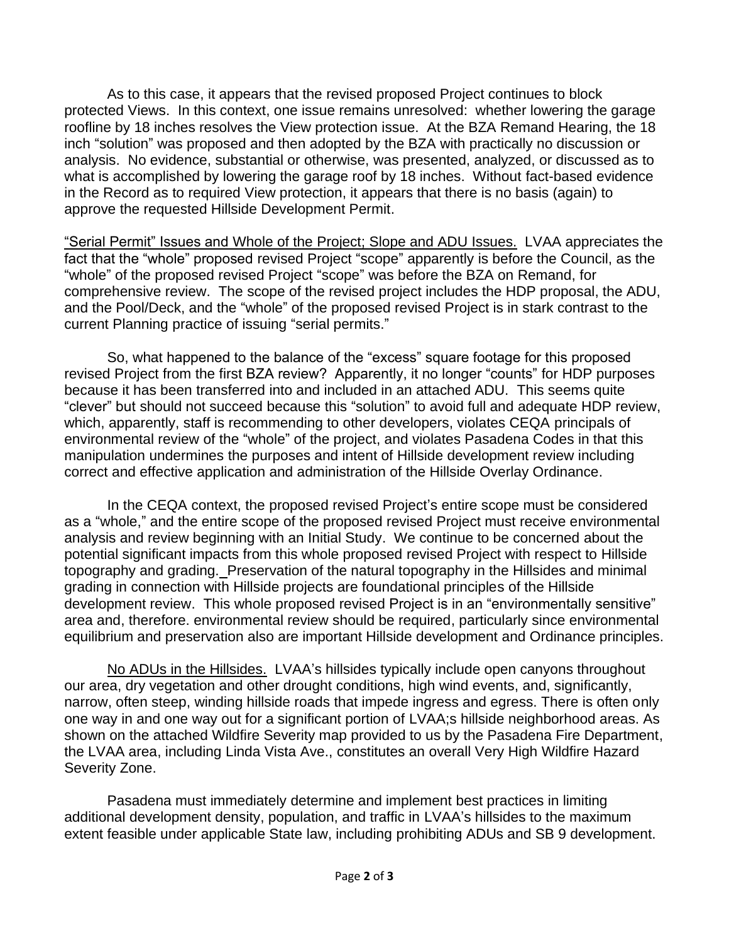As to this case, it appears that the revised proposed Project continues to block protected Views. In this context, one issue remains unresolved: whether lowering the garage roofline by 18 inches resolves the View protection issue. At the BZA Remand Hearing, the 18 inch "solution" was proposed and then adopted by the BZA with practically no discussion or analysis. No evidence, substantial or otherwise, was presented, analyzed, or discussed as to what is accomplished by lowering the garage roof by 18 inches. Without fact-based evidence in the Record as to required View protection, it appears that there is no basis (again) to approve the requested Hillside Development Permit.

"Serial Permit" Issues and Whole of the Project; Slope and ADU Issues. LVAA appreciates the fact that the "whole" proposed revised Project "scope" apparently is before the Council, as the "whole" of the proposed revised Project "scope" was before the BZA on Remand, for comprehensive review. The scope of the revised project includes the HDP proposal, the ADU, and the Pool/Deck, and the "whole" of the proposed revised Project is in stark contrast to the current Planning practice of issuing "serial permits."

So, what happened to the balance of the "excess" square footage for this proposed revised Project from the first BZA review? Apparently, it no longer "counts" for HDP purposes because it has been transferred into and included in an attached ADU. This seems quite "clever" but should not succeed because this "solution" to avoid full and adequate HDP review, which, apparently, staff is recommending to other developers, violates CEQA principals of environmental review of the "whole" of the project, and violates Pasadena Codes in that this manipulation undermines the purposes and intent of Hillside development review including correct and effective application and administration of the Hillside Overlay Ordinance.

In the CEQA context, the proposed revised Project's entire scope must be considered as a "whole," and the entire scope of the proposed revised Project must receive environmental analysis and review beginning with an Initial Study. We continue to be concerned about the potential significant impacts from this whole proposed revised Project with respect to Hillside topography and grading. Preservation of the natural topography in the Hillsides and minimal grading in connection with Hillside projects are foundational principles of the Hillside development review. This whole proposed revised Project is in an "environmentally sensitive" area and, therefore. environmental review should be required, particularly since environmental equilibrium and preservation also are important Hillside development and Ordinance principles.

No ADUs in the Hillsides. LVAA's hillsides typically include open canyons throughout our area, dry vegetation and other drought conditions, high wind events, and, significantly, narrow, often steep, winding hillside roads that impede ingress and egress. There is often only one way in and one way out for a significant portion of LVAA;s hillside neighborhood areas. As shown on the attached Wildfire Severity map provided to us by the Pasadena Fire Department, the LVAA area, including Linda Vista Ave., constitutes an overall Very High Wildfire Hazard Severity Zone.

Pasadena must immediately determine and implement best practices in limiting additional development density, population, and traffic in LVAA's hillsides to the maximum extent feasible under applicable State law, including prohibiting ADUs and SB 9 development.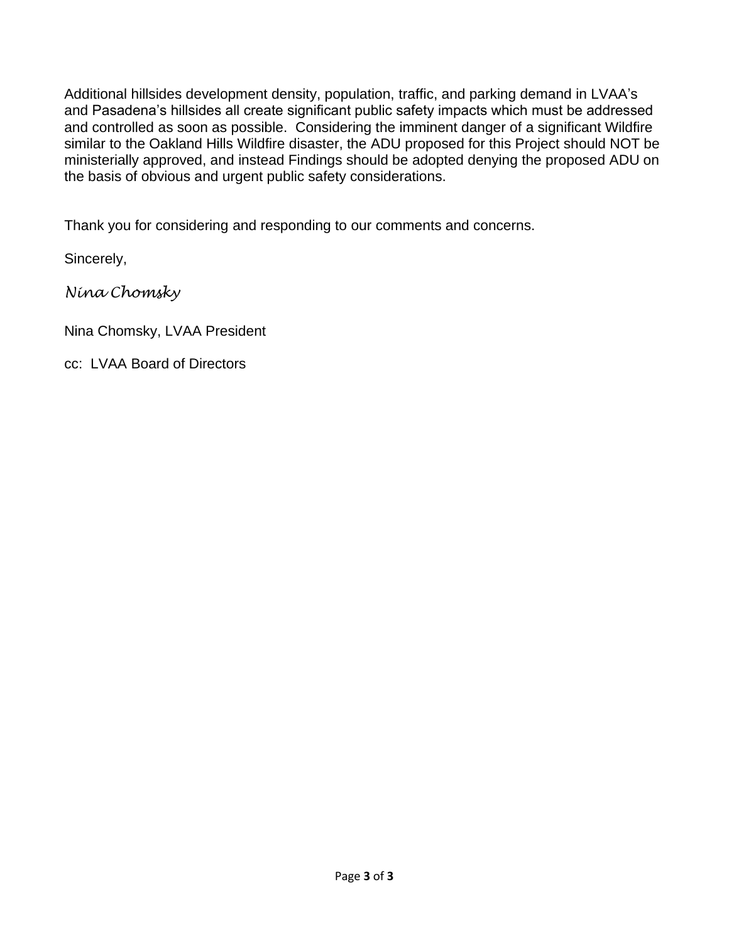Additional hillsides development density, population, traffic, and parking demand in LVAA's and Pasadena's hillsides all create significant public safety impacts which must be addressed and controlled as soon as possible. Considering the imminent danger of a significant Wildfire similar to the Oakland Hills Wildfire disaster, the ADU proposed for this Project should NOT be ministerially approved, and instead Findings should be adopted denying the proposed ADU on the basis of obvious and urgent public safety considerations.

Thank you for considering and responding to our comments and concerns.

Sincerely,

*Nina Chomsky*

Nina Chomsky, LVAA President

cc: LVAA Board of Directors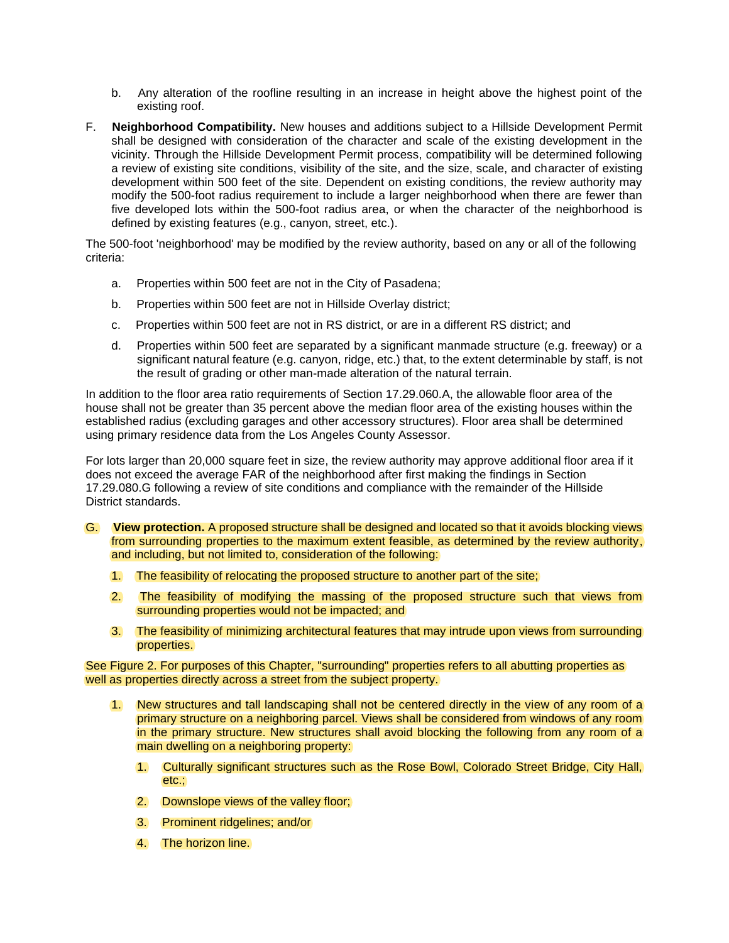- b. Any alteration of the roofline resulting in an increase in height above the highest point of the existing roof.
- F. **Neighborhood Compatibility.** New houses and additions subject to a Hillside Development Permit shall be designed with consideration of the character and scale of the existing development in the vicinity. Through the Hillside Development Permit process, compatibility will be determined following a review of existing site conditions, visibility of the site, and the size, scale, and character of existing development within 500 feet of the site. Dependent on existing conditions, the review authority may modify the 500-foot radius requirement to include a larger neighborhood when there are fewer than five developed lots within the 500-foot radius area, or when the character of the neighborhood is defined by existing features (e.g., canyon, street, etc.).

The 500-foot 'neighborhood' may be modified by the review authority, based on any or all of the following criteria:

- a. Properties within 500 feet are not in the City of Pasadena;
- b. Properties within 500 feet are not in Hillside Overlay district;
- c. Properties within 500 feet are not in RS district, or are in a different RS district; and
- d. Properties within 500 feet are separated by a significant manmade structure (e.g. freeway) or a significant natural feature (e.g. canyon, ridge, etc.) that, to the extent determinable by staff, is not the result of grading or other man-made alteration of the natural terrain.

In addition to the floor area ratio requirements of Section 17.29.060.A, the allowable floor area of the house shall not be greater than 35 percent above the median floor area of the existing houses within the established radius (excluding garages and other accessory structures). Floor area shall be determined using primary residence data from the Los Angeles County Assessor.

For lots larger than 20,000 square feet in size, the review authority may approve additional floor area if it does not exceed the average FAR of the neighborhood after first making the findings in Section 17.29.080.G following a review of site conditions and compliance with the remainder of the Hillside District standards.

- G. **View protection.** A proposed structure shall be designed and located so that it avoids blocking views from surrounding properties to the maximum extent feasible, as determined by the review authority, and including, but not limited to, consideration of the following:
	- 1. The feasibility of relocating the proposed structure to another part of the site;
	- 2. The feasibility of modifying the massing of the proposed structure such that views from surrounding properties would not be impacted; and
	- 3. The feasibility of minimizing architectural features that may intrude upon views from surrounding properties.

See Figure 2. For purposes of this Chapter, "surrounding" properties refers to all abutting properties as well as properties directly across a street from the subject property.

- 1. New structures and tall landscaping shall not be centered directly in the view of any room of a primary structure on a neighboring parcel. Views shall be considered from windows of any room in the primary structure. New structures shall avoid blocking the following from any room of a main dwelling on a neighboring property:
	- 1. Culturally significant structures such as the Rose Bowl, Colorado Street Bridge, City Hall, etc.;
	- 2. Downslope views of the valley floor;
	- 3. Prominent ridgelines; and/or
	- 4. The horizon line.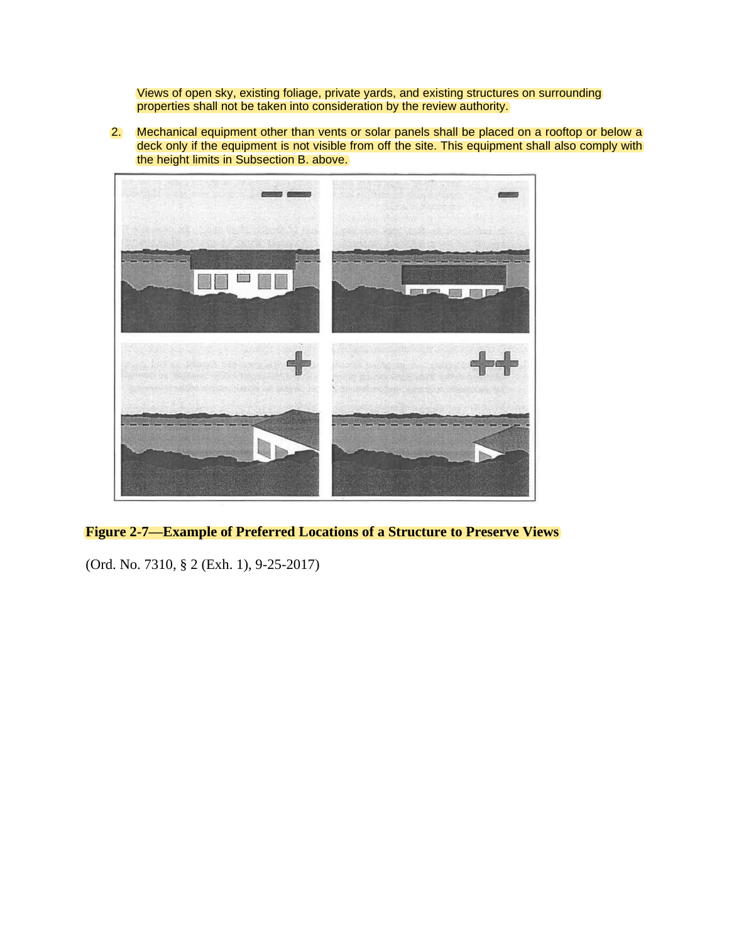Views of open sky, existing foliage, private yards, and existing structures on surrounding properties shall not be taken into consideration by the review authority.

2. Mechanical equipment other than vents or solar panels shall be placed on a rooftop or below a deck only if the equipment is not visible from off the site. This equipment shall also comply with the height limits in Subsection B. above.



**Figure 2-7—Example of Preferred Locations of a Structure to Preserve Views**

(Ord. No. 7310, § 2 (Exh. 1), 9-25-2017)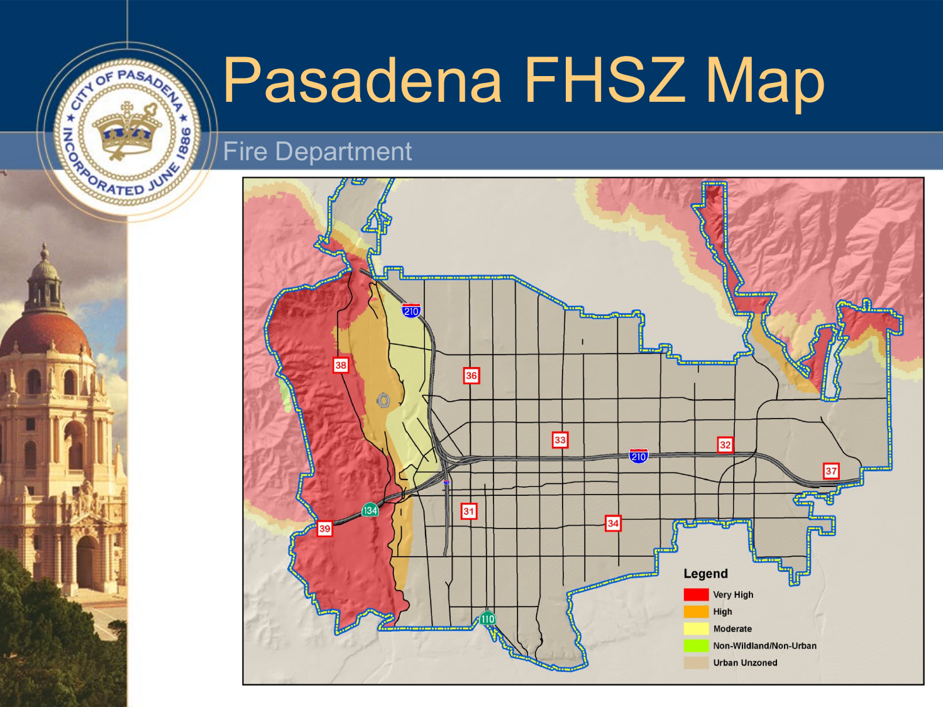# Pasadena FHSZ Map

## Fire Department

**ATOF PASADEL** 

**ARADORATED JUTY** 

Ō ö

۰

1886